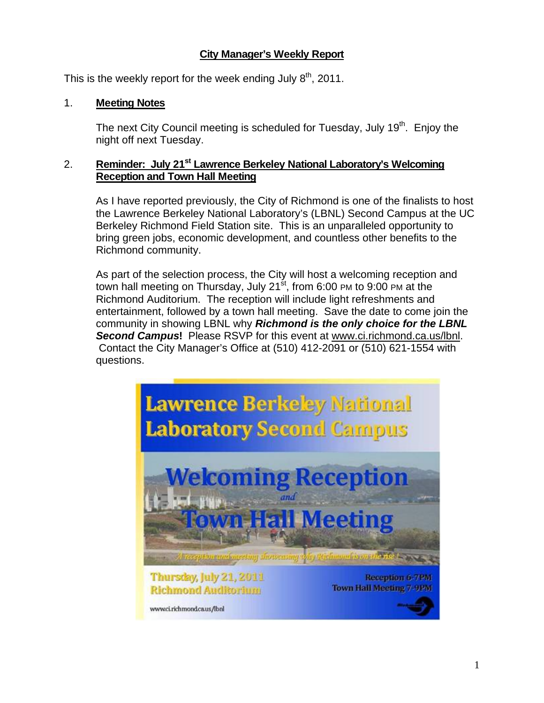# **City Manager's Weekly Report**

This is the weekly report for the week ending July  $8<sup>th</sup>$ , 2011.

### 1. **Meeting Notes**

The next City Council meeting is scheduled for Tuesday, July  $19<sup>th</sup>$ . Enjoy the night off next Tuesday.

### 2. **Reminder: July 21<sup>st</sup> Lawrence Berkeley National Laboratory's Welcoming Reception and Town Hall Meeting**

As I have reported previously, the City of Richmond is one of the finalists to host the Lawrence Berkeley National Laboratory's (LBNL) Second Campus at the UC Berkeley Richmond Field Station site. This is an unparalleled opportunity to bring green jobs, economic development, and countless other benefits to the Richmond community.

As part of the selection process, the City will host a welcoming reception and town hall meeting on Thursday, July 21 $\mathrm{st}$ , from 6:00 PM to 9:00 PM at the Richmond Auditorium. The reception will include light refreshments and entertainment, followed by a town hall meeting. Save the date to come join the community in showing LBNL why *Richmond is the only choice for the LBNL Second Campus***!** Please RSVP for this event at www.ci.richmond.ca.us/lbnl. Contact the City Manager's Office at (510) 412-2091 or (510) 621-1554 with questions.

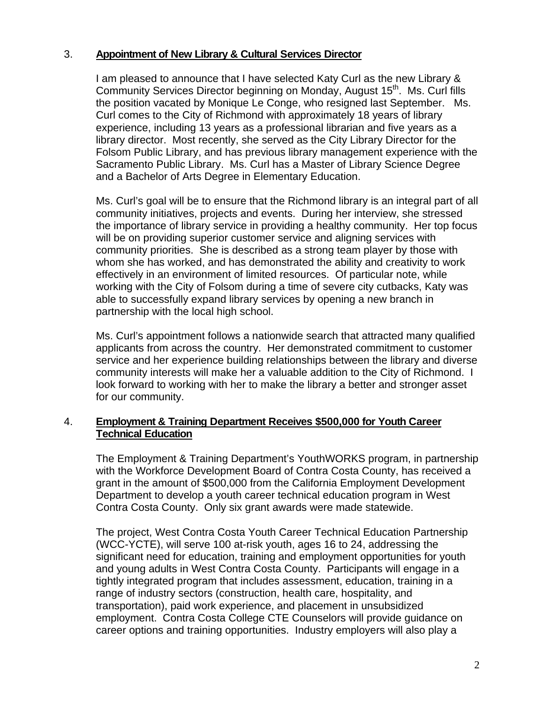### 3. **Appointment of New Library & Cultural Services Director**

I am pleased to announce that I have selected Katy Curl as the new Library & Community Services Director beginning on Monday, August 15<sup>th</sup>. Ms. Curl fills the position vacated by Monique Le Conge, who resigned last September. Ms. Curl comes to the City of Richmond with approximately 18 years of library experience, including 13 years as a professional librarian and five years as a library director. Most recently, she served as the City Library Director for the Folsom Public Library, and has previous library management experience with the Sacramento Public Library. Ms. Curl has a Master of Library Science Degree and a Bachelor of Arts Degree in Elementary Education.

Ms. Curl's goal will be to ensure that the Richmond library is an integral part of all community initiatives, projects and events. During her interview, she stressed the importance of library service in providing a healthy community. Her top focus will be on providing superior customer service and aligning services with community priorities. She is described as a strong team player by those with whom she has worked, and has demonstrated the ability and creativity to work effectively in an environment of limited resources. Of particular note, while working with the City of Folsom during a time of severe city cutbacks, Katy was able to successfully expand library services by opening a new branch in partnership with the local high school.

Ms. Curl's appointment follows a nationwide search that attracted many qualified applicants from across the country. Her demonstrated commitment to customer service and her experience building relationships between the library and diverse community interests will make her a valuable addition to the City of Richmond. I look forward to working with her to make the library a better and stronger asset for our community.

#### 4. **Employment & Training Department Receives \$500,000 for Youth Career Technical Education**

The Employment & Training Department's YouthWORKS program, in partnership with the Workforce Development Board of Contra Costa County, has received a grant in the amount of \$500,000 from the California Employment Development Department to develop a youth career technical education program in West Contra Costa County. Only six grant awards were made statewide.

The project, West Contra Costa Youth Career Technical Education Partnership (WCC-YCTE), will serve 100 at-risk youth, ages 16 to 24, addressing the significant need for education, training and employment opportunities for youth and young adults in West Contra Costa County. Participants will engage in a tightly integrated program that includes assessment, education, training in a range of industry sectors (construction, health care, hospitality, and transportation), paid work experience, and placement in unsubsidized employment. Contra Costa College CTE Counselors will provide guidance on career options and training opportunities. Industry employers will also play a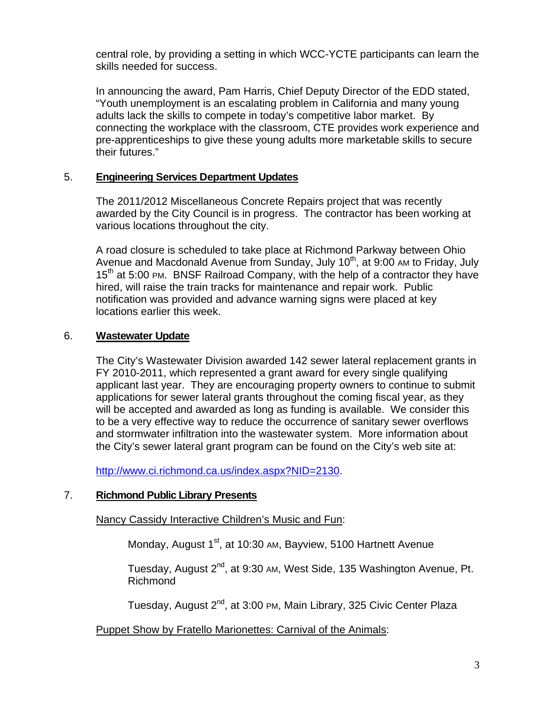central role, by providing a setting in which WCC-YCTE participants can learn the skills needed for success.

In announcing the award, Pam Harris, Chief Deputy Director of the EDD stated, "Youth unemployment is an escalating problem in California and many young adults lack the skills to compete in today's competitive labor market. By connecting the workplace with the classroom, CTE provides work experience and pre-apprenticeships to give these young adults more marketable skills to secure their futures."

#### 5. **Engineering Services Department Updates**

The 2011/2012 Miscellaneous Concrete Repairs project that was recently awarded by the City Council is in progress. The contractor has been working at various locations throughout the city.

A road closure is scheduled to take place at Richmond Parkway between Ohio Avenue and Macdonald Avenue from Sunday, July  $10<sup>th</sup>$ , at 9:00 AM to Friday, July 15<sup>th</sup> at 5:00 PM. BNSF Railroad Company, with the help of a contractor they have hired, will raise the train tracks for maintenance and repair work. Public notification was provided and advance warning signs were placed at key locations earlier this week.

#### 6. **Wastewater Update**

The City's Wastewater Division awarded 142 sewer lateral replacement grants in FY 2010-2011, which represented a grant award for every single qualifying applicant last year. They are encouraging property owners to continue to submit applications for sewer lateral grants throughout the coming fiscal year, as they will be accepted and awarded as long as funding is available. We consider this to be a very effective way to reduce the occurrence of sanitary sewer overflows and stormwater infiltration into the wastewater system. More information about the City's sewer lateral grant program can be found on the City's web site at:

http://www.ci.richmond.ca.us/index.aspx?NID=2130.

#### 7. **Richmond Public Library Presents**

#### Nancy Cassidy Interactive Children's Music and Fun:

Monday, August 1<sup>st</sup>, at 10:30 AM, Bayview, 5100 Hartnett Avenue

Tuesday, August 2<sup>nd</sup>, at 9:30 AM, West Side, 135 Washington Avenue, Pt. Richmond

Tuesday, August 2<sup>nd</sup>, at 3:00 PM, Main Library, 325 Civic Center Plaza

#### Puppet Show by Fratello Marionettes: Carnival of the Animals: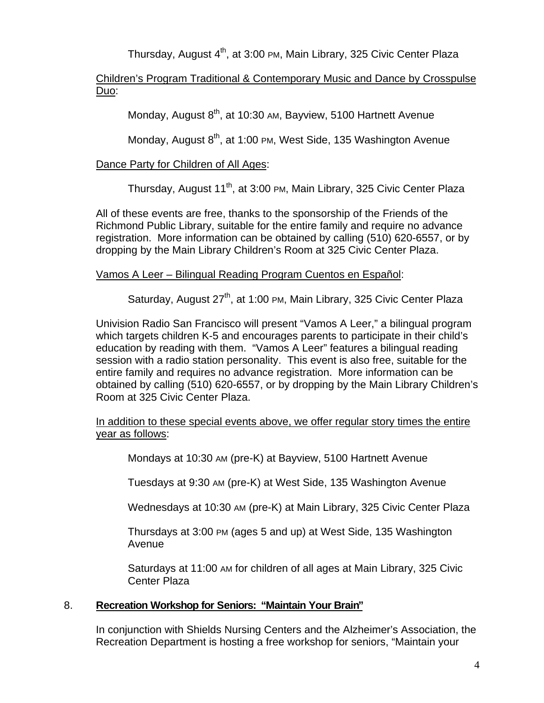Thursday, August 4<sup>th</sup>, at 3:00 PM, Main Library, 325 Civic Center Plaza

### Children's Program Traditional & Contemporary Music and Dance by Crosspulse Duo:

Monday, August 8<sup>th</sup>, at 10:30 AM, Bayview, 5100 Hartnett Avenue

Monday, August  $8<sup>th</sup>$ , at 1:00 PM, West Side, 135 Washington Avenue

# Dance Party for Children of All Ages:

Thursday, August 11<sup>th</sup>, at 3:00 PM, Main Library, 325 Civic Center Plaza

All of these events are free, thanks to the sponsorship of the Friends of the Richmond Public Library, suitable for the entire family and require no advance registration. More information can be obtained by calling (510) 620-6557, or by dropping by the Main Library Children's Room at 325 Civic Center Plaza.

# Vamos A Leer – Bilingual Reading Program Cuentos en Español:

Saturday, August 27<sup>th</sup>, at 1:00 PM, Main Library, 325 Civic Center Plaza

Univision Radio San Francisco will present "Vamos A Leer," a bilingual program which targets children K-5 and encourages parents to participate in their child's education by reading with them. "Vamos A Leer" features a bilingual reading session with a radio station personality. This event is also free, suitable for the entire family and requires no advance registration. More information can be obtained by calling (510) 620-6557, or by dropping by the Main Library Children's Room at 325 Civic Center Plaza.

### In addition to these special events above, we offer regular story times the entire year as follows:

Mondays at 10:30 AM (pre-K) at Bayview, 5100 Hartnett Avenue

Tuesdays at 9:30 AM (pre-K) at West Side, 135 Washington Avenue

Wednesdays at 10:30 AM (pre-K) at Main Library, 325 Civic Center Plaza

Thursdays at 3:00 PM (ages 5 and up) at West Side, 135 Washington Avenue

Saturdays at 11:00 AM for children of all ages at Main Library, 325 Civic Center Plaza

# 8. **Recreation Workshop for Seniors: "Maintain Your Brain"**

In conjunction with Shields Nursing Centers and the Alzheimer's Association, the Recreation Department is hosting a free workshop for seniors, "Maintain your